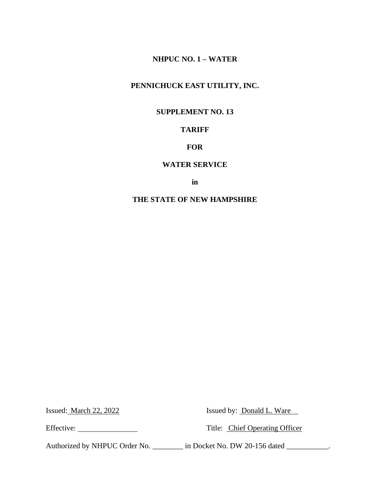## **NHPUC NO. 1 – WATER**

# **PENNICHUCK EAST UTILITY, INC.**

### **SUPPLEMENT NO. 13**

# **TARIFF**

## **FOR**

#### **WATER SERVICE**

**in**

# **THE STATE OF NEW HAMPSHIRE**

Issued: <u>March 22, 2022</u> Issued by: <u>Donald L. Ware</u>

Effective: Title: Chief Operating Officer

Authorized by NHPUC Order No. \_\_\_\_\_\_\_\_ in Docket No. DW 20-156 dated \_\_\_\_\_\_\_\_\_\_.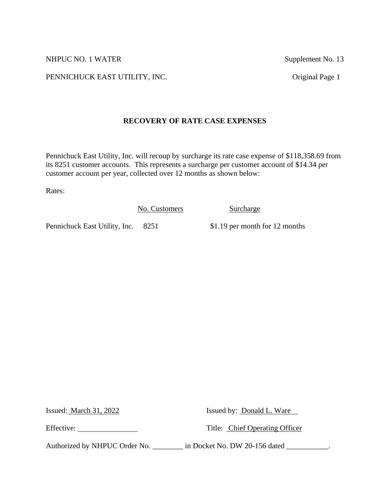NHPUC NO. 1 WATER Supplement No. 13

PENNICHUCK EAST UTILITY, INC. Original Page 1

# **RECOVERY OF RATE CASE EXPENSES**

Pennichuck East Utility, Inc. will recoup by surcharge its rate case expense of \$118,358.69 from its 8251 customer accounts. This represents a surcharge per customer account of \$14.34 per customer account per year, collected over 12 months as shown below:

Rates:

No. Customers Surcharge

Pennichuck East Utility, Inc. 8251 \$1.19 per month for 12 months

Issued: March 31, 2022 Issued by: Donald L. Ware

Effective: Title: Chief Operating Officer

Authorized by NHPUC Order No. \_\_\_\_\_\_\_\_ in Docket No. DW 20-156 dated \_\_\_\_\_\_\_\_\_\_.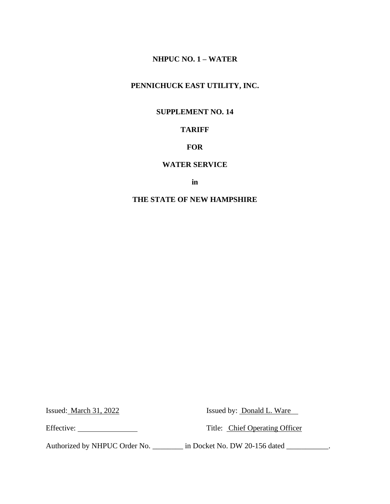## **NHPUC NO. 1 – WATER**

# **PENNICHUCK EAST UTILITY, INC.**

### **SUPPLEMENT NO. 14**

# **TARIFF**

### **FOR**

#### **WATER SERVICE**

**in**

# **THE STATE OF NEW HAMPSHIRE**

Issued: March 31, 2022 Issued by: Donald L. Ware

Effective: Title: Chief Operating Officer

Authorized by NHPUC Order No. \_\_\_\_\_\_\_\_ in Docket No. DW 20-156 dated \_\_\_\_\_\_\_\_\_\_.